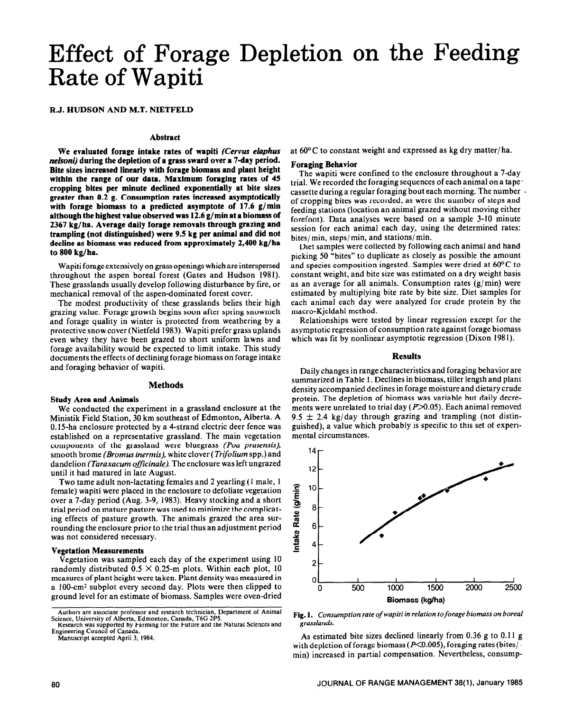# Effect of Forage Depletion on the Feeding Rate of Wapiti

**R.J. HUDSON AND M.T. NIETFELD** 

## **Abstract**

**We evaluated forage intake rates of wapiti (Cervus** *elaphus nelsoni)* **during the depletion of a grass sward over a 7-day period. Bite sizes increased linearly with forage biomass and plant height within the range of our data. Maximum foraging rates of 45 cropping bites per minute declined exponentially at bite sizes greater than 0.2 g. Consumption rates increased asymptotically with forage biomass to a predicted asymptote of 17.6 g/min although the highest value observed was 12.6 g/min at a biomass of 2367 kg/ha. Average daily forage removals through grazing and trampling (not distinguished) were 9.5 kg per animal and did not decline as biomass was reduced from approximately 2,400 kg/ha to 800 kg/ha.** 

Wapiti forage extensively on grass openings which are interspersed throughout the aspen boreal forest (Gates and Hudson 1981). These grasslands usually develop following disturbance by fire, or mechanical removal of the aspen-dominated forest cover.

The modest productivity of these grasslands belies their high grazing value. Forage growth begins soon after spring snowmelt and forage quality in winter is protected from weathering by a protective snow cover (Nietfeld 1983). Wapiti prefer grass uplands even whey they have been grazed to short uniform lawns and forage availability would be expected to limit intake. This study documents the effects of declining forage biomass on forage intake and foraging behavior of wapiti.

### **Methods**

#### **Study Area and Animals**

We conducted the experiment in a grassland enclosure at the Ministik Field Station, 30 km southeast of Edmonton, Alberta. A 0.15ha enclosure protected by a 4-strand electric deer fence was established on a representative grassland. The main vegetation components of the grassland were bluegrass *(Poo pratensis),*  smooth brome *(Bromus inermti),* white clover *(Trifolium* spp.) and dandelion *(Taraxacum officinale).* The enclosure was left ungrazed until it had matured in late August.

Two tame adult non-lactating females and 2 yearling (1 male, 1 female) wapiti were placed in the enclosure to defoliate vegetation over a 7-day period (Aug. 3-9, 1983). Heavy stocking and a short trial period on mature pasture was used to minimize the complicating effects of pasture growth. The animals grazed the area surrounding the enclosure prior to the trial thus an adjustment period was not considered necessary.

#### **Vegetation Measurements**

Vegetation was sampled each day of the experiment using 10 randomly distributed  $0.5 \times 0.25$ -m plots. Within each plot, 10 measures of plant height were taken. Plant density was measured in a IOO-cm2 subplot every second day. Plots were then clipped to ground level for an estimate of biomass. Samples were oven-dried

**Manuscript accepted April 3, 1984.** 

at 60°C to constant weight and expressed as kg dry matter/ ha.

#### **Foraging Behavior**

The wapiti were confined to the enclosure throughout a 7-day trial. We recorded the foraging sequences of each animal on a tape L cassette during a regular foraging bout each morning. The number of cropping bites was recorded, as were the number of steps and feeding stations (location an animal grazed without moving either forefoot). Data analyses were based on a sample 3-10 minute session for each animal each day, using the determined rates: bites/ min, steps/ min, and stations/ min.

Diet samples were collected by following each animal and hand picking 50 "bites" to duplicate as closely as possible the amount and species composition ingested. Samples were dried at 60°C to constant weight, and bite size was estimated on a dry weight basis as an average for all animals. Consumption rates (g/min) were estimated by multiplying bite rate by bite size. Diet samples for each animal each day were analyzed for crude protein by the macro-Kjeldahl method.

Relationships were tested by linear regression except for the asymptotic regression of consumption rate against forage biomass which was fit by nonlinear asymptotic regression (Dixon 1981).

#### **Results**

Daily changes in range characteristics and foraging behavior are summarized in Table I. Declines in biomass, tiller length and plant density accompanied declines in forage moisture and dietary crude protein. The depletion of biomass was variable but daily decrements were unrelated to trial day  $(P>0.05)$ . Each animal removed 9.5  $\pm$  2.4 kg/day through grazing and trampling (not distinguished), a value which probably is specific to this set of experimental circumstances.



**Fig. 1.** *Consumption rate of wapiti in relation toforage biomass on boreal grasslands.* 

As estimated bite sizes declined linearly from 0.36 g to 0.11 g with depletion of forage biomass ( $P<0.005$ ), foraging rates (bites/min) increased in partial compensation. Nevertheless, consump-

**Authors are associate professor and research technician, Department of Animal Science, University of Alberta, Edmonton, Canada, T6G 2P5.** 

**Research was supported by Farming for the Future and the Natural Sciences and Engineering Council of Canada.**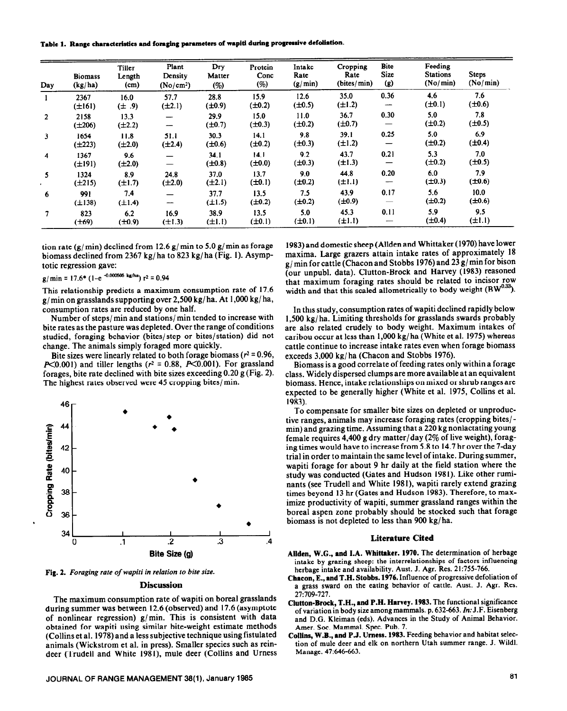**Table 1. Range cbaraderlstics and foraging parameters of wapiti during progressive defoliation.** 

| Day            | <b>Biomass</b><br>(kg/ha) | <b>Tiller</b><br>Length<br>(cm) | Plant<br>Density<br>(No/cm <sup>2</sup> ) | Dry<br>Matter<br>(%) | Protein<br>Conc<br>(%) | Intake<br>Rate<br>(g/min) | Cropping<br>Rate<br>(bites/min) | <b>Bite</b><br><b>Size</b><br>(g) | Feeding<br><b>Stations</b><br>(No/min) | <b>Steps</b><br>(No/min) |
|----------------|---------------------------|---------------------------------|-------------------------------------------|----------------------|------------------------|---------------------------|---------------------------------|-----------------------------------|----------------------------------------|--------------------------|
| 1              | 2367<br>$(\pm 161)$       | 16.0<br>$(\pm .9)$              | 57.7<br>$(\pm 2.1)$                       | 28.8<br>$(\pm 0.9)$  | 15.9<br>$(\pm 0.2)$    | 12.6<br>$(\pm 0.5)$       | 35.0<br>$(\pm 1.2)$             | 0.36<br>--                        | 4.6<br>$(\pm 0.1)$                     | 7.6<br>$(\pm 0.6)$       |
| $\overline{2}$ | 2158<br>$(\pm 206)$       | 13.3<br>$(\pm 2.2)$             | $\overline{\phantom{m}}$                  | 29.9<br>$(\pm 0.7)$  | 15.0<br>$(\pm 0.3)$    | 11.0<br>$(\pm 0.2)$       | 36.7<br>$(\pm 0.7)$             | 0.30<br>—                         | 5.0<br>$(\pm 0.2)$                     | 7.8<br>$(\pm 0.5)$       |
| 3              | 1654<br>$(\pm 223)$       | 11.8<br>$(\pm 2.0)$             | 51.1<br>$(\pm 2.4)$                       | 30.3<br>$(\pm 0.6)$  | 14.1<br>$(\pm 0.2)$    | 9.8<br>$(\pm 0.3)$        | 39.1<br>$(\pm 1.2)$             | 0.25                              | 5.0<br>$(\pm 0.2)$                     | 6.9<br>$(\pm 0.4)$       |
| 4              | 1367<br>$(\pm 191)$       | 9.6<br>$(\pm 2.0)$              | $\overline{\phantom{0}}$<br>—             | 34.1<br>$(\pm 0.8)$  | 14.1<br>$(\pm 0.0)$    | 9.2<br>$(\pm 0.3)$        | 43.7<br>$(\pm 1.3)$             | 0.21<br>—                         | 5.3<br>$(\pm 0.2)$                     | 7.0<br>$(\pm 0.5)$       |
| 5              | 1324<br>$(\pm 215)$       | 8.9<br>$(\pm 1.7)$              | 24.8<br>$(\pm 2.0)$                       | 37.0<br>$(\pm 2.1)$  | 13.7<br>$(\pm 0.1)$    | 9.0<br>$(\pm 0.2)$        | 44.8<br>$(\pm 1.1)$             | 0.20                              | 6.0<br>$(\pm 0.3)$                     | 7.9<br>$(\pm 0.6)$       |
| 6              | 991<br>$(\pm 138)$        | 7.4<br>$(\pm 1.4)$              | $\overline{\phantom{a}}$                  | 37.7<br>$(\pm 1.5)$  | 13.5<br>$(\pm 0.2)$    | 7.5<br>$(\pm 0.2)$        | 43.9<br>$(\pm 0.9)$             | 0.17                              | 5.6<br>$(\pm 0.2)$                     | 10.0<br>$(\pm 0.6)$      |
| 7              | 823<br>$(\pm 69)$         | 6.2<br>$(\pm 0.9)$              | 16.9<br>$(\pm 1.3)$                       | 38.9<br>$(\pm 1.1)$  | 13.5<br>$(\pm 0.1)$    | 5.0<br>$(\pm 0.1)$        | 45.3<br>$(\pm 1.1)$             | 0.11                              | 5.9<br>$(\pm 0.4)$                     | 9.5<br>$(\pm 1.1)$       |

tion rate (g/ min) declined from 12.6 g/ min to **5.0 g/** min as forage biomass declined from 2367 kg/ ha to 823 kg/ ha (Fig. 1). Asymptotic regression gave:

 $g/min = 17.6* (1-e^{-0.000605 \text{ kg/ha}})$   $r^2 = 0.94$ 

This relationship predicts a maximum consumption rate of 17.6 g/ min on grasslands supporting over 2,500 kg/ ha. At 1,000 kg/ ha, consumption rates are reduced by one half.

Number of steps/ min and stations/ min tended to increase with bite rates as the pasture was depleted. Over the range of conditions studied, foraging behavior (bites/step or bites/station) did not change. The animals simply foraged more quickly.

Bite sizes were linearly related to both forage biomass ( $r^2 = 0.96$ ,  $P\leq 0.001$ ) and tiller lengths ( $r^2 = 0.88$ ,  $P\leq 0.001$ ). For grassland forages, bite rate declined with bite sizes exceeding 0.20 g (Fig. 2). The highest rates observed were 45 cropping bites/ min.



**Fig. 2.** *Foraging rate of wapiti in relation to bire size.* 

## **Discussion**

The maximum consumption rate of wapiti on boreal grasslands during summer was between 12.6 (observed) and 17.6 (asymptote of nonlinear regression) g/min. This is consistent with data obtained for wapiti using similar bite-weight estimate methods (Collins et al. 1978) and a less subjective technique using fistulated animals (Wickstrom et al. in press). Smaller species such as reindeer (Trudell and White 1981), mule deer (Collins and Urness

1983) and domestic sheep (Allden and Whittaker (1970) have lower maxima. Large grazers attain intake rates of approximately 18 g/ min for cattle (Chacon and Stobbs 1976) and 23 g/ min for bison (our unpubl. data). Clutton-Brock and Harvey (1983) reasoned that maximum foraging rates should be related to incisor row width and that this scaled allometrically to body weight  $(BW^{0.33})$ .

In this study, consumption rates of wapiti declined rapidly below 1,500 kg/ ha. Limiting thresholds for grasslands swards probably are also related crudely to body weight. Maximum intakes of caribou occur at less than **1,000** kg/ ha (White et al. 1975) whereas cattle continue to increase intake rates even when forage biomass exceeds 3,000 kg/ ha (Chacon and Stobbs 1976).

Biomass is a good correlate of feeding rates only within a forage class. Widely dispersed clumps are more available at an equivalent biomass. Hence, intake relationships on mixed or shrub ranges are expected to be generally higher (White et al. 1975, Collins et al. 1983).

To compensate for smaller bite sizes on depleted or unproductive ranges, animals may increase foraging rates (cropping bites/ min) and grazing time. Assuming that a 220 kg nonlactating young female requires 4,400 g dry matter/day (2% of live weight), foraging times would have to increase from 5.8 to 14.7 hr over the 7-day trial in order to maintain the same level of intake. During summer, wapiti forage for about 9 hr daily at the field station where the study was conducted (Gates and Hudson 1981). Like other ruminants (see Trudell and White 1981), wapiti rarely extend grazing times beyond 13 hr (Gates and Hudson 1983). Therefore, to maximize productivity of wapiti, summer grassland ranges within the boreal aspen zone probably should be stocked such that forage biomass is not depleted to less than 900 kg/ ha.

## **Literature Cited**

- **Allden, W.G.,** and **I.A. Whittaker. 1970.** The determination of herbage intake by grazing sheep: the interrelationships of factors influencing herbage intake and availability. Aust. J. Agr. Res. 21:755-766.
- **Cbacon, E., and T.H. Stobbs. 1976.** Influence of progressive defoliation of a arass sward on the eating behavior of cattle. Amt. J. Agr. **Res.**
- **Clutton-Brock, T.H., and P.H. Harvey. 1983.** The functional significance of variation in body size among mammals. p. 632-663. In: J.F. Eisenberg and D.G. Kleiman (eds). Advances in the Study of Animal Behavior. Amer. Soc. Mammal. Spec. Pub. 7.
- **Collins, W.B., and P.J. Umess. 1983.** Feeding behavior and habitat selection of mule deer and elk on northern Utah summer range. J. Wild]. Manage. 47:646-663.